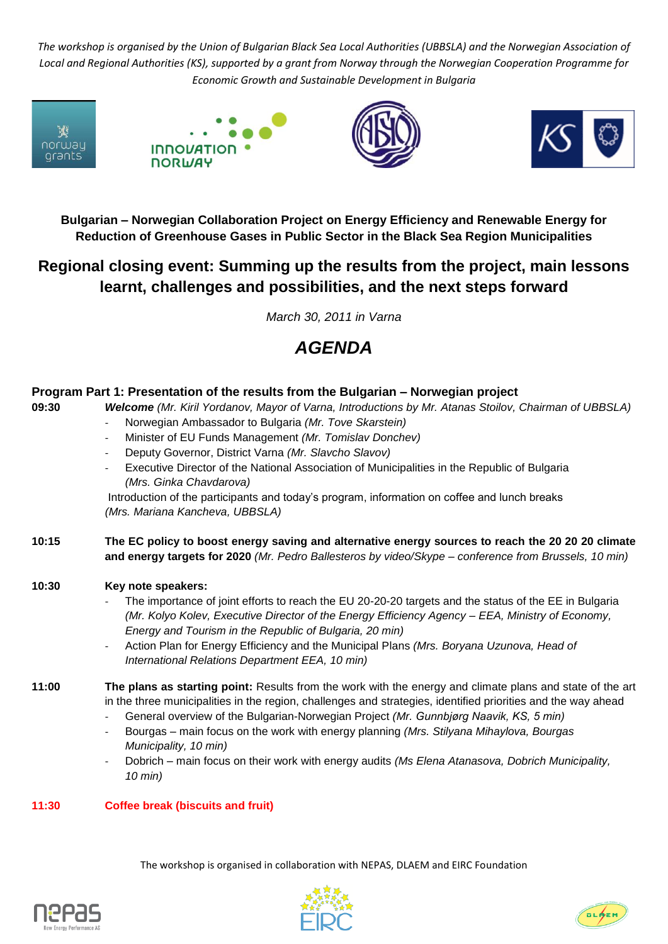*The workshop is organised by the Union of Bulgarian Black Sea Local Authorities (UBBSLA) and the Norwegian Association of Local and Regional Authorities (KS), supported by a grant from Norway through the Norwegian Cooperation Programme for Economic Growth and Sustainable Development in Bulgaria*









**Bulgarian – Norwegian Collaboration Project on Energy Efficiency and Renewable Energy for Reduction of Greenhouse Gases in Public Sector in the Black Sea Region Municipalities**

## **Regional closing event: Summing up the results from the project, main lessons learnt, challenges and possibilities, and the next steps forward**

*March 30, 2011 in Varna*

## *AGENDA*

| Program Part 1: Presentation of the results from the Bulgarian - Norwegian project |                                                                                                                                                                                                                                                                                                                                                                                                                                                                                                                                                                                                                                              |
|------------------------------------------------------------------------------------|----------------------------------------------------------------------------------------------------------------------------------------------------------------------------------------------------------------------------------------------------------------------------------------------------------------------------------------------------------------------------------------------------------------------------------------------------------------------------------------------------------------------------------------------------------------------------------------------------------------------------------------------|
| 09:30                                                                              | Welcome (Mr. Kiril Yordanov, Mayor of Varna, Introductions by Mr. Atanas Stoilov, Chairman of UBBSLA)<br>Norwegian Ambassador to Bulgaria (Mr. Tove Skarstein)<br>Minister of EU Funds Management (Mr. Tomislav Donchev)<br>$\overline{\phantom{a}}$<br>Deputy Governor, District Varna (Mr. Slavcho Slavov)<br>$\overline{\phantom{a}}$<br>Executive Director of the National Association of Municipalities in the Republic of Bulgaria<br>(Mrs. Ginka Chavdarova)<br>Introduction of the participants and today's program, information on coffee and lunch breaks<br>(Mrs. Mariana Kancheva, UBBSLA)                                       |
| 10:15                                                                              | The EC policy to boost energy saving and alternative energy sources to reach the 20 20 20 climate<br>and energy targets for 2020 (Mr. Pedro Ballesteros by video/Skype - conference from Brussels, 10 min)                                                                                                                                                                                                                                                                                                                                                                                                                                   |
| 10:30                                                                              | Key note speakers:<br>The importance of joint efforts to reach the EU 20-20-20 targets and the status of the EE in Bulgaria<br>(Mr. Kolyo Kolev, Executive Director of the Energy Efficiency Agency - EEA, Ministry of Economy,<br>Energy and Tourism in the Republic of Bulgaria, 20 min)<br>Action Plan for Energy Efficiency and the Municipal Plans (Mrs. Boryana Uzunova, Head of<br>$\overline{\phantom{a}}$<br>International Relations Department EEA, 10 min)                                                                                                                                                                        |
| 11:00                                                                              | The plans as starting point: Results from the work with the energy and climate plans and state of the art<br>in the three municipalities in the region, challenges and strategies, identified priorities and the way ahead<br>General overview of the Bulgarian-Norwegian Project (Mr. Gunnbjørg Naavik, KS, 5 min)<br>$\overline{\phantom{a}}$<br>Bourgas - main focus on the work with energy planning (Mrs. Stilyana Mihaylova, Bourgas<br>$\overline{\phantom{a}}$<br>Municipality, 10 min)<br>Dobrich – main focus on their work with energy audits (Ms Elena Atanasova, Dobrich Municipality,<br>$\overline{\phantom{a}}$<br>$10$ min) |

**11:30 Coffee break (biscuits and fruit)**

The workshop is organised in collaboration with NEPAS, DLAEM and EIRC Foundation